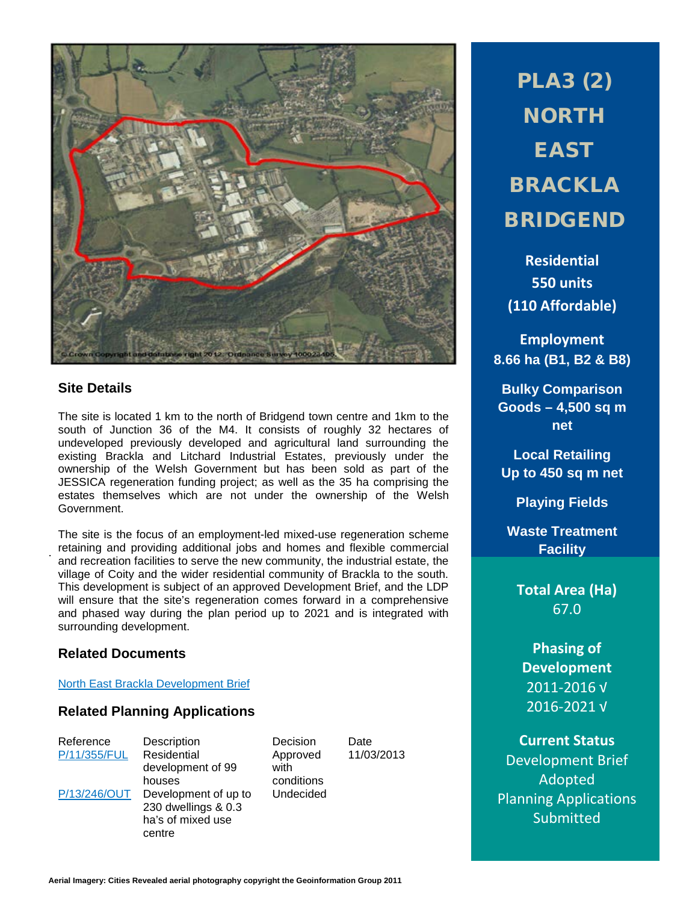

## **Site Details**

.

The site is located 1 km to the north of Bridgend town centre and 1km to the south of Junction 36 of the M4. It consists of roughly 32 hectares of undeveloped previously developed and agricultural land surrounding the existing Brackla and Litchard Industrial Estates, previously under the ownership of the Welsh Government but has been sold as part of the JESSICA regeneration funding project; as well as the 35 ha comprising the estates themselves which are not under the ownership of the Welsh Government.

The site is the focus of an employment-led mixed-use regeneration scheme retaining and providing additional jobs and homes and flexible commercial and recreation facilities to serve the new community, the industrial estate, the village of Coity and the wider residential community of Brackla to the south. This development is subject of an approved Development Brief, and the LDP will ensure that the site's regeneration comes forward in a comprehensive and phased way during the plan period up to 2021 and is integrated with surrounding development.

## **Related Documents**

### [North East Brackla Development Brief](http://www1.bridgend.gov.uk/media/164400/SD53.pdf)

### **Related Planning Applications**

[P/11/355/FUL](http://planpor.bridgend.gov.uk/OcellaWeb/planningDetails?reference=P/11/355/FUL&from=planningSearch) Residential development of 99 houses [P/13/246/OUT](http://planpor.bridgend.gov.uk/OcellaWeb/planningDetails?reference=P/13/246/OUT&from=planningSearch) Development of up to 230 dwellings & 0.3 ha's of mixed use centre

Reference Description Decision Date Approved with conditions Undecided

11/03/2013

PLA3 (2) **NORTH** EAST BRACKLA BRIDGEND

**Residential 550 units (110 Affordable)**

**Employment 8.66 ha (B1, B2 & B8)**

**Bulky Comparison Goods – 4,500 sq m net**

**Local Retailing Up to 450 sq m net**

**Playing Fields**

**Waste Treatment Facility**

**Total Area (Ha)** 67.0

**Phasing of Development** 2011-2016 √ 2016-2021 √

**Current Status** Development Brief Adopted Planning Applications Submitted